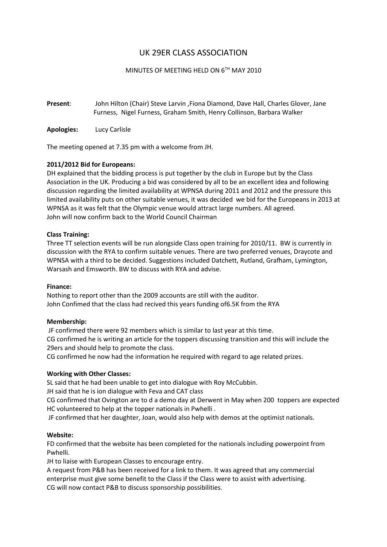# UK 29ER CLASS ASSOCIATION

# MINUTES OF MEETING HELD ON 6TH MAY 2010

**Present**: John Hilton (Chair) Steve Larvin ,Fiona Diamond, Dave Hall, Charles Glover, Jane Furness, Nigel Furness, Graham Smith, Henry Collinson, Barbara Walker

**Apologies:** Lucy Carlisle

The meeting opened at 7.35 pm with a welcome from JH.

# **2011/2012 Bid for Europeans:**

DH explained that the bidding process is put together by the club in Europe but by the Class Association in the UK. Producing a bid was considered by all to be an excellent idea and following discussion regarding the limited availability at WPNSA during 2011 and 2012 and the pressure this limited availability puts on other suitable venues, it was decided we bid for the Europeans in 2013 at WPNSA as it was felt that the Olympic venue would attract large numbers. All agreed. John will now confirm back to the World Council Chairman

# **Class Training:**

Three TT selection events will be run alongside Class open training for 2010/11. BW is currently in discussion with the RYA to confirm suitable venues. There are two preferred venues, Draycote and WPNSA with a third to be decided. Suggestions included Datchett, Rutland, Grafham, Lymington, Warsash and Emsworth. BW to discuss with RYA and advise.

#### **Finance:**

Nothing to report other than the 2009 accounts are still with the auditor. John Confimed that the class had recived this years funding of6.5K from the RYA

#### **Membership:**

JF confirmed there were 92 members which is similar to last year at this time. CG confirmed he is writing an article for the toppers discussing transition and this will include the 29ers and should help to promote the class.

CG confirmed he now had the information he required with regard to age related prizes.

# **Working with Other Classes:**

SL said that he had been unable to get into dialogue with Roy McCubbin.

JH said that he is ion dialogue with Feva and CAT class

CG confirmed that Ovington are to d a demo day at Derwent in May when 200 toppers are expected HC volunteered to help at the topper nationals in Pwhelli .

JF confirmed that her daughter, Joan, would also help with demos at the optimist nationals.

# **Website:**

FD confirmed that the website has been completed for the nationals including powerpoint from Pwhelli.

JH to liaise with European Classes to encourage entry.

A request from P&B has been received for a link to them. It was agreed that any commercial enterprise must give some benefit to the Class if the Class were to assist with advertising. CG will now contact P&B to discuss sponsorship possibilities.